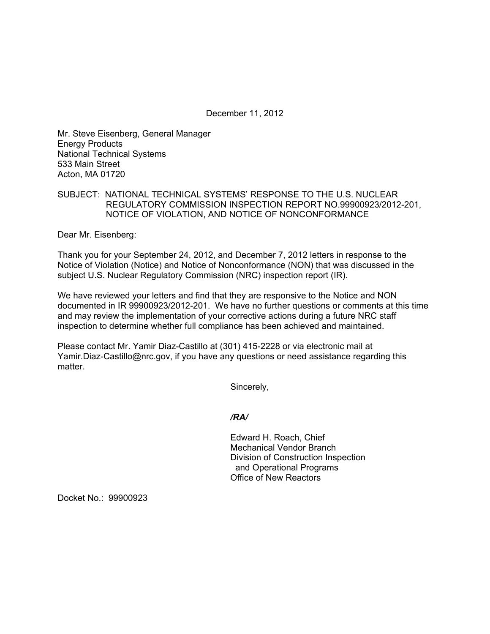December 11, 2012

Mr. Steve Eisenberg, General Manager Energy Products National Technical Systems 533 Main Street Acton, MA 01720

# SUBJECT: NATIONAL TECHNICAL SYSTEMS' RESPONSE TO THE U.S. NUCLEAR REGULATORY COMMISSION INSPECTION REPORT NO.99900923/2012-201, NOTICE OF VIOLATION, AND NOTICE OF NONCONFORMANCE

Dear Mr. Eisenberg:

Thank you for your September 24, 2012, and December 7, 2012 letters in response to the Notice of Violation (Notice) and Notice of Nonconformance (NON) that was discussed in the subject U.S. Nuclear Regulatory Commission (NRC) inspection report (IR).

We have reviewed your letters and find that they are responsive to the Notice and NON documented in IR 99900923/2012-201. We have no further questions or comments at this time and may review the implementation of your corrective actions during a future NRC staff inspection to determine whether full compliance has been achieved and maintained.

Please contact Mr. Yamir Diaz-Castillo at (301) 415-2228 or via electronic mail at Yamir.Diaz-Castillo@nrc.gov, if you have any questions or need assistance regarding this matter.

Sincerely,

## */RA/*

Edward H. Roach, Chief Mechanical Vendor Branch Division of Construction Inspection and Operational Programs Office of New Reactors

Docket No.: 99900923